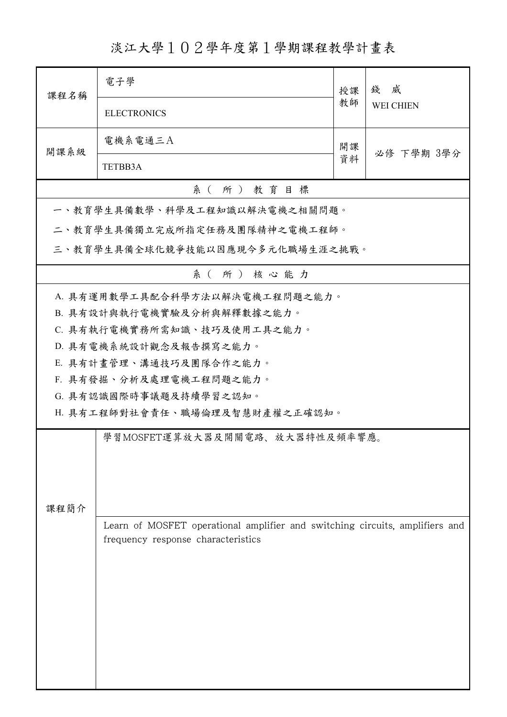淡江大學102學年度第1學期課程教學計畫表

| 課程名稱     | 電子學                                                                          | 授課<br>教師 | 威<br>錢           |  |  |
|----------|------------------------------------------------------------------------------|----------|------------------|--|--|
|          | <b>ELECTRONICS</b>                                                           |          | <b>WEI CHIEN</b> |  |  |
| 開課系級     | 電機系電通三A                                                                      | 開課       | 必修 下學期 3學分       |  |  |
|          | TETBB3A                                                                      | 資料       |                  |  |  |
| 系(所)教育目標 |                                                                              |          |                  |  |  |
|          | 一、教育學生具備數學、科學及工程知識以解決電機之相關問題。                                                |          |                  |  |  |
|          | 二、教育學生具備獨立完成所指定任務及團隊精神之電機工程師。                                                |          |                  |  |  |
|          | 三、教育學生具備全球化競爭技能以因應現今多元化職場生涯之挑戰。                                              |          |                  |  |  |
|          | 系(所)核心能力                                                                     |          |                  |  |  |
|          | A. 具有運用數學工具配合科學方法以解決電機工程問題之能力。                                               |          |                  |  |  |
|          | B. 具有設計與執行電機實驗及分析與解釋數據之能力。                                                   |          |                  |  |  |
|          | C. 具有執行電機實務所需知識、技巧及使用工具之能力。                                                  |          |                  |  |  |
|          | D. 具有電機系統設計觀念及報告撰寫之能力。                                                       |          |                  |  |  |
|          | E. 具有計畫管理、溝通技巧及團隊合作之能力。                                                      |          |                  |  |  |
|          | F. 具有發掘、分析及處理電機工程問題之能力。                                                      |          |                  |  |  |
|          | G. 具有認識國際時事議題及持續學習之認知。                                                       |          |                  |  |  |
|          | H. 具有工程師對社會責任、職場倫理及智慧財產權之正確認知。                                               |          |                  |  |  |
|          | 學習MOSFET運算放大器及開關電路、放大器特性及頻率響應。                                               |          |                  |  |  |
|          |                                                                              |          |                  |  |  |
|          |                                                                              |          |                  |  |  |
|          |                                                                              |          |                  |  |  |
| 課程簡介     |                                                                              |          |                  |  |  |
|          | Learn of MOSFET operational amplifier and switching circuits, amplifiers and |          |                  |  |  |
|          | frequency response characteristics                                           |          |                  |  |  |
|          |                                                                              |          |                  |  |  |
|          |                                                                              |          |                  |  |  |
|          |                                                                              |          |                  |  |  |
|          |                                                                              |          |                  |  |  |
|          |                                                                              |          |                  |  |  |
|          |                                                                              |          |                  |  |  |
|          |                                                                              |          |                  |  |  |
|          |                                                                              |          |                  |  |  |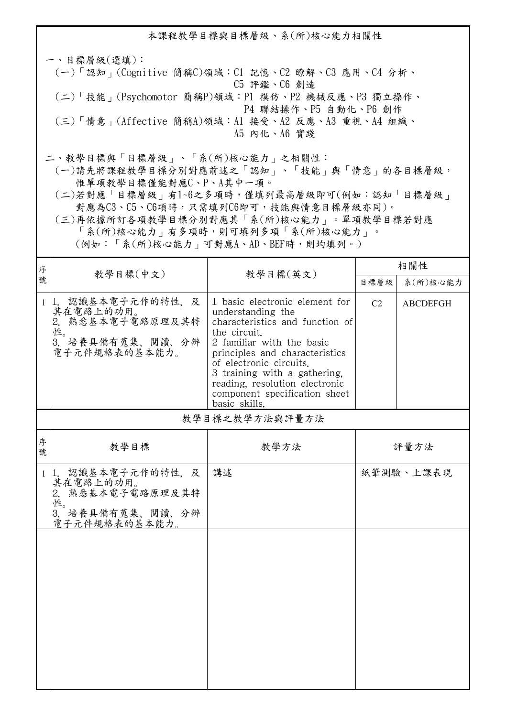本課程教學目標與目標層級、系(所)核心能力相關性 一、目標層級(選填): (一)「認知」(Cognitive 簡稱C)領域:C1 記憶、C2 瞭解、C3 應用、C4 分析、 C5 評鑑、C6 創造 (二)「技能」(Psychomotor 簡稱P)領域:P1 模仿、P2 機械反應、P3 獨立操作、 P4 聯結操作、P5 自動化、P6 創作 (三)「情意」(Affective 簡稱A)領域:A1 接受、A2 反應、A3 重視、A4 組織、 A5 內化、A6 實踐 二、教學目標與「目標層級」、「系(所)核心能力」之相關性:

 (一)請先將課程教學目標分別對應前述之「認知」、「技能」與「情意」的各目標層級, 惟單項教學目標僅能對應C、P、A其中一項。

 (二)若對應「目標層級」有1~6之多項時,僅填列最高層級即可(例如:認知「目標層級」 對應為C3、C5、C6項時,只需填列C6即可,技能與情意目標層級亦同)。

 (三)再依據所訂各項教學目標分別對應其「系(所)核心能力」。單項教學目標若對應 「系(所)核心能力」有多項時,則可填列多項「系(所)核心能力」。

(例如:「系(所)核心能力」可對應A、AD、BEF時,則均填列。)

| 序            | 教學目標(中文)                                                                                         |                                                                                                                                                                                                                                                                                                                      | 相關性            |                 |  |  |
|--------------|--------------------------------------------------------------------------------------------------|----------------------------------------------------------------------------------------------------------------------------------------------------------------------------------------------------------------------------------------------------------------------------------------------------------------------|----------------|-----------------|--|--|
| 號            |                                                                                                  | 教學目標(英文)                                                                                                                                                                                                                                                                                                             | 目標層級           | 系(所)核心能力        |  |  |
| $\mathbf{1}$ | 認識基本電子元作的特性,及<br>11.<br>其在電路上的功用。<br>2. 熟悉基本電子電路原理及其特<br>性。<br>3. 培養具備有蒐集、閲讀、分辨<br>電子元件規格表的基本能力。 | 1 basic electronic element for<br>understanding the<br>characteristics and function of<br>the circuit.<br>2 familiar with the basic<br>principles and characteristics<br>of electronic circuits.<br>3 training with a gathering,<br>reading, resolution electronic<br>component specification sheet<br>basic skills. | C <sub>2</sub> | <b>ABCDEFGH</b> |  |  |
|              | 教學目標之教學方法與評量方法                                                                                   |                                                                                                                                                                                                                                                                                                                      |                |                 |  |  |
| 序<br>號       | 教學目標                                                                                             | 教學方法                                                                                                                                                                                                                                                                                                                 | 評量方法           |                 |  |  |
| 1            | 1. 認識基本電子元作的特性, 及<br>其在電路上的功用。<br>2. 熟悉基本電子電路原理及其特<br>性。<br>培養具備有蒐集、閲讀、分辨<br>3.<br>電子元件規格表的基本能力。 | 講述                                                                                                                                                                                                                                                                                                                   |                | 紙筆測驗、上課表現       |  |  |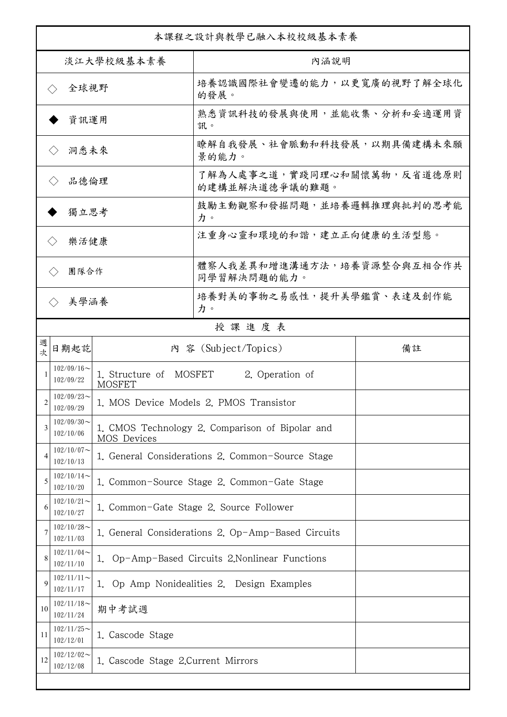| 本課程之設計與教學已融入本校校級基本素養         |                            |                                                    |                                                  |  |  |
|------------------------------|----------------------------|----------------------------------------------------|--------------------------------------------------|--|--|
| 淡江大學校級基本素養                   |                            |                                                    | 內涵說明                                             |  |  |
| 全球視野<br>$\langle \ \rangle$  |                            |                                                    | 培養認識國際社會變遷的能力,以更寬廣的視野了解全球化<br>的發展。               |  |  |
| 資訊運用                         |                            |                                                    | 熟悉資訊科技的發展與使用,並能收集、分析和妥適運用資<br>訊。                 |  |  |
| 洞悉未來<br>$\langle \ \rangle$  |                            |                                                    | 瞭解自我發展、社會脈動和科技發展,以期具備建構未來願<br>景的能力。              |  |  |
| 品德倫理                         |                            |                                                    | 了解為人處事之道,實踐同理心和關懷萬物,反省道德原則<br>的建構並解決道德爭議的難題。     |  |  |
| 獨立思考                         |                            |                                                    | 鼓勵主動觀察和發掘問題,並培養邏輯推理與批判的思考能<br>力。                 |  |  |
| 樂活健康<br>$\langle \, \rangle$ |                            |                                                    | 注重身心靈和環境的和諧,建立正向健康的生活型態。                         |  |  |
| 團隊合作<br>$\langle$ $\rangle$  |                            |                                                    | 體察人我差異和增進溝通方法,培養資源整合與互相合作共<br>同學習解決問題的能力。        |  |  |
|                              | 美學涵養<br>$\langle \rangle$  |                                                    | 培養對美的事物之易感性,提升美學鑑賞、表達及創作能<br>力。                  |  |  |
|                              |                            |                                                    | 授課進度表                                            |  |  |
| 週<br>欤                       | 日期起訖                       | 內 容 (Subject/Topics)<br>備註                         |                                                  |  |  |
|                              | $102/09/16$ ~<br>102/09/22 | 1. Structure of MOSFET<br><b>MOSFET</b>            | 2. Operation of                                  |  |  |
| $\mathfrak{D}$               | $102/09/23$ ~<br>102/09/29 |                                                    | 1. MOS Device Models 2. PMOS Transistor          |  |  |
| 3                            | $102/09/30$ ~<br>102/10/06 | MOS Devices                                        | 1. CMOS Technology 2. Comparison of Bipolar and  |  |  |
| 4                            | $102/10/07$ ~<br>102/10/13 |                                                    | 1. General Considerations 2. Common-Source Stage |  |  |
| 5                            | $102/10/14$ ~<br>102/10/20 | 1. Common-Source Stage 2. Common-Gate Stage        |                                                  |  |  |
| 6                            | $102/10/21$ ~<br>102/10/27 | 1. Common-Gate Stage 2. Source Follower            |                                                  |  |  |
| 7                            | $102/10/28$ ~<br>102/11/03 | 1. General Considerations 2. Op-Amp-Based Circuits |                                                  |  |  |
| 8                            | $102/11/04$ ~<br>102/11/10 |                                                    | 1. Op-Amp-Based Circuits 2. Nonlinear Functions  |  |  |
| $\mathbf Q$                  | $102/11/11$ ~<br>102/11/17 |                                                    | 1. Op Amp Nonidealities 2. Design Examples       |  |  |
| 10                           | $102/11/18$ ~<br>102/11/24 | 期中考試週                                              |                                                  |  |  |
| 11                           | $102/11/25$ ~<br>102/12/01 | 1. Cascode Stage                                   |                                                  |  |  |
| 12                           | $102/12/02$ ~<br>102/12/08 | 1. Cascode Stage 2. Current Mirrors                |                                                  |  |  |
|                              |                            |                                                    |                                                  |  |  |